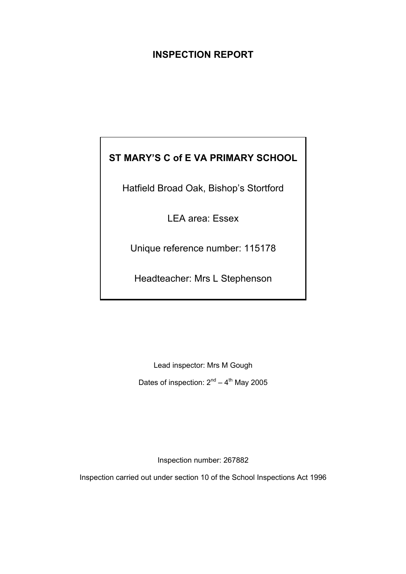# **INSPECTION REPORT**

# **ST MARY'S C of E VA PRIMARY SCHOOL**

Hatfield Broad Oak, Bishop's Stortford

LEA area: Essex

Unique reference number: 115178

Headteacher: Mrs L Stephenson

Lead inspector: Mrs M Gough Dates of inspection:  $2^{nd} - 4^{th}$  May 2005

Inspection number: 267882

Inspection carried out under section 10 of the School Inspections Act 1996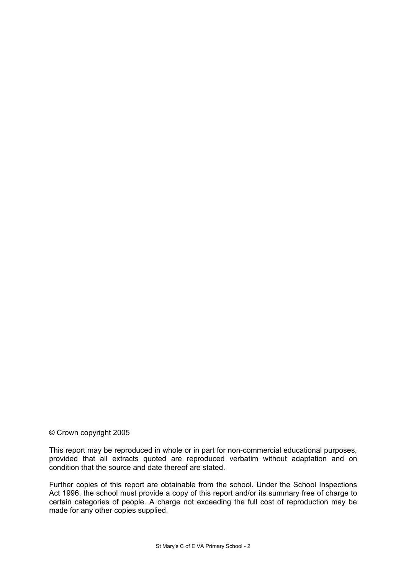#### © Crown copyright 2005

This report may be reproduced in whole or in part for non-commercial educational purposes, provided that all extracts quoted are reproduced verbatim without adaptation and on condition that the source and date thereof are stated.

Further copies of this report are obtainable from the school. Under the School Inspections Act 1996, the school must provide a copy of this report and/or its summary free of charge to certain categories of people. A charge not exceeding the full cost of reproduction may be made for any other copies supplied.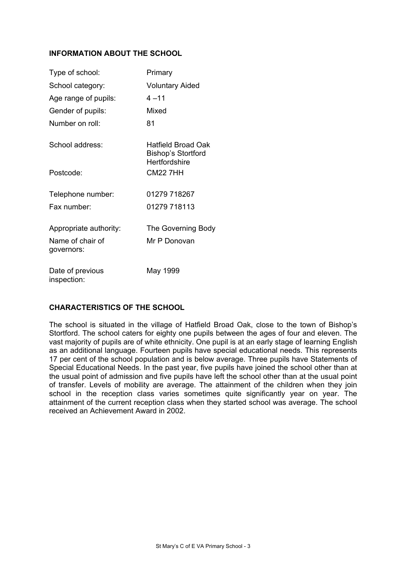## **INFORMATION ABOUT THE SCHOOL**

| Type of school:                 | Primary                                                          |
|---------------------------------|------------------------------------------------------------------|
| School category:                | <b>Voluntary Aided</b>                                           |
| Age range of pupils:            | $4 - 11$                                                         |
| Gender of pupils:               | Mixed                                                            |
| Number on roll:                 | 81                                                               |
| School address:                 | Hatfield Broad Oak<br><b>Bishop's Stortford</b><br>Hertfordshire |
| Postcode:                       | <b>CM22 7HH</b>                                                  |
| Telephone number:               | 01279 718267                                                     |
| Fax number:                     | 01279 718113                                                     |
| Appropriate authority:          | The Governing Body                                               |
| Name of chair of<br>governors:  | Mr P Donovan                                                     |
| Date of previous<br>inspection: | May 1999                                                         |

## **CHARACTERISTICS OF THE SCHOOL**

The school is situated in the village of Hatfield Broad Oak, close to the town of Bishop's Stortford. The school caters for eighty one pupils between the ages of four and eleven. The vast majority of pupils are of white ethnicity. One pupil is at an early stage of learning English as an additional language. Fourteen pupils have special educational needs. This represents 17 per cent of the school population and is below average. Three pupils have Statements of Special Educational Needs. In the past year, five pupils have joined the school other than at the usual point of admission and five pupils have left the school other than at the usual point of transfer. Levels of mobility are average. The attainment of the children when they join school in the reception class varies sometimes quite significantly year on year. The attainment of the current reception class when they started school was average. The school received an Achievement Award in 2002.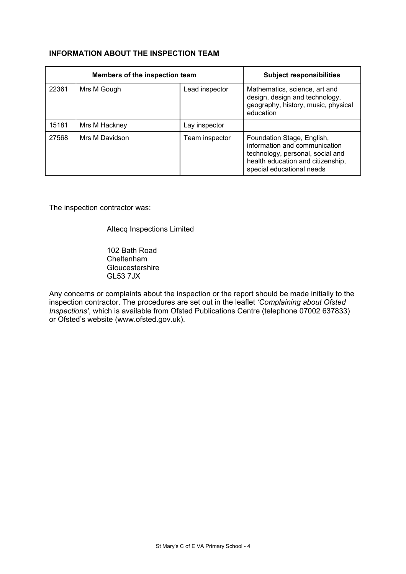## **INFORMATION ABOUT THE INSPECTION TEAM**

| Members of the inspection team |                |                | <b>Subject responsibilities</b>                                                                                                                                   |
|--------------------------------|----------------|----------------|-------------------------------------------------------------------------------------------------------------------------------------------------------------------|
| 22361                          | Mrs M Gough    | Lead inspector | Mathematics, science, art and<br>design, design and technology,<br>geography, history, music, physical<br>education                                               |
| 15181                          | Mrs M Hackney  | Lay inspector  |                                                                                                                                                                   |
| 27568                          | Mrs M Davidson | Team inspector | Foundation Stage, English,<br>information and communication<br>technology, personal, social and<br>health education and citizenship,<br>special educational needs |

The inspection contractor was:

Altecq Inspections Limited

 102 Bath Road Cheltenham **Gloucestershire** GL53 7JX

Any concerns or complaints about the inspection or the report should be made initially to the inspection contractor. The procedures are set out in the leaflet *'Complaining about Ofsted Inspections'*, which is available from Ofsted Publications Centre (telephone 07002 637833) or Ofsted's website (www.ofsted.gov.uk).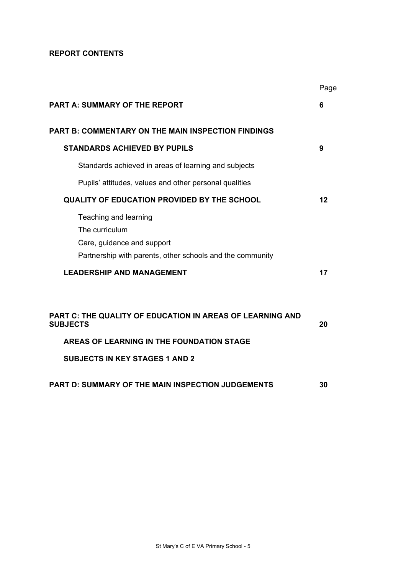## **REPORT CONTENTS**

|                                                                                                                                    | Page |
|------------------------------------------------------------------------------------------------------------------------------------|------|
| <b>PART A: SUMMARY OF THE REPORT</b>                                                                                               | 6    |
| <b>PART B: COMMENTARY ON THE MAIN INSPECTION FINDINGS</b>                                                                          |      |
| <b>STANDARDS ACHIEVED BY PUPILS</b>                                                                                                | 9    |
| Standards achieved in areas of learning and subjects                                                                               |      |
| Pupils' attitudes, values and other personal qualities                                                                             |      |
| <b>QUALITY OF EDUCATION PROVIDED BY THE SCHOOL</b>                                                                                 | 12   |
| Teaching and learning<br>The curriculum<br>Care, guidance and support<br>Partnership with parents, other schools and the community |      |
| <b>LEADERSHIP AND MANAGEMENT</b>                                                                                                   | 17   |
|                                                                                                                                    |      |
| <b>PART C: THE QUALITY OF EDUCATION IN AREAS OF LEARNING AND</b><br><b>SUBJECTS</b>                                                | 20   |
| AREAS OF LEARNING IN THE FOUNDATION STAGE                                                                                          |      |
| <b>SUBJECTS IN KEY STAGES 1 AND 2</b>                                                                                              |      |
| <b>PART D: SUMMARY OF THE MAIN INSPECTION JUDGEMENTS</b>                                                                           | 30   |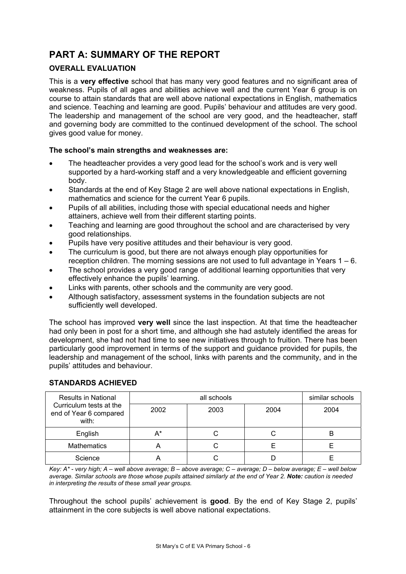# **PART A: SUMMARY OF THE REPORT**

# **OVERALL EVALUATION**

This is a **very effective** school that has many very good features and no significant area of weakness. Pupils of all ages and abilities achieve well and the current Year 6 group is on course to attain standards that are well above national expectations in English, mathematics and science. Teaching and learning are good. Pupils' behaviour and attitudes are very good. The leadership and management of the school are very good, and the headteacher, staff and governing body are committed to the continued development of the school. The school gives good value for money.

## **The school's main strengths and weaknesses are:**

- The headteacher provides a very good lead for the school's work and is very well supported by a hard-working staff and a very knowledgeable and efficient governing body.
- Standards at the end of Key Stage 2 are well above national expectations in English, mathematics and science for the current Year 6 pupils.
- Pupils of all abilities, including those with special educational needs and higher attainers, achieve well from their different starting points.
- Teaching and learning are good throughout the school and are characterised by very good relationships.
- Pupils have very positive attitudes and their behaviour is very good.
- The curriculum is good, but there are not always enough play opportunities for reception children. The morning sessions are not used to full advantage in Years 1 – 6.
- The school provides a very good range of additional learning opportunities that very effectively enhance the pupils' learning.
- Links with parents, other schools and the community are very good.
- Although satisfactory, assessment systems in the foundation subjects are not sufficiently well developed.

The school has improved **very well** since the last inspection. At that time the headteacher had only been in post for a short time, and although she had astutely identified the areas for development, she had not had time to see new initiatives through to fruition. There has been particularly good improvement in terms of the support and guidance provided for pupils, the leadership and management of the school, links with parents and the community, and in the pupils' attitudes and behaviour.

| <b>Results in National</b>                                 |       | similar schools |      |      |
|------------------------------------------------------------|-------|-----------------|------|------|
| Curriculum tests at the<br>end of Year 6 compared<br>with: | 2002  | 2003            | 2004 | 2004 |
| English                                                    | $A^*$ |                 |      |      |
| <b>Mathematics</b>                                         | n     |                 |      |      |
| Science                                                    |       |                 |      |      |

# **STANDARDS ACHIEVED**

*Key: A\* - very high; A – well above average; B – above average; C – average; D – below average; E – well below average. Similar schools are those whose pupils attained similarly at the end of Year 2. Note: caution is needed in interpreting the results of these small year groups.* 

Throughout the school pupils' achievement is **good**. By the end of Key Stage 2, pupils' attainment in the core subjects is well above national expectations.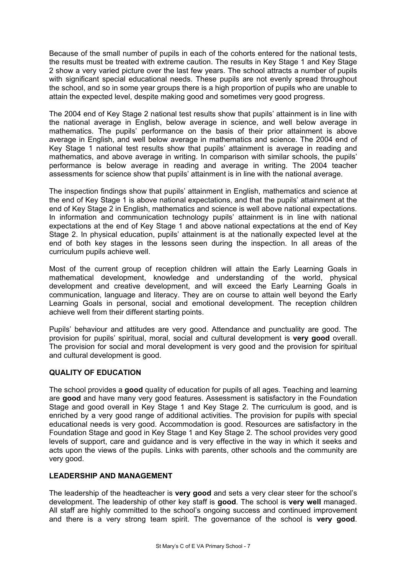Because of the small number of pupils in each of the cohorts entered for the national tests, the results must be treated with extreme caution. The results in Key Stage 1 and Key Stage 2 show a very varied picture over the last few years. The school attracts a number of pupils with significant special educational needs. These pupils are not evenly spread throughout the school, and so in some year groups there is a high proportion of pupils who are unable to attain the expected level, despite making good and sometimes very good progress.

The 2004 end of Key Stage 2 national test results show that pupils' attainment is in line with the national average in English, below average in science, and well below average in mathematics. The pupils' performance on the basis of their prior attainment is above average in English, and well below average in mathematics and science. The 2004 end of Key Stage 1 national test results show that pupils' attainment is average in reading and mathematics, and above average in writing. In comparison with similar schools, the pupils' performance is below average in reading and average in writing. The 2004 teacher assessments for science show that pupils' attainment is in line with the national average.

The inspection findings show that pupils' attainment in English, mathematics and science at the end of Key Stage 1 is above national expectations, and that the pupils' attainment at the end of Key Stage 2 in English, mathematics and science is well above national expectations. In information and communication technology pupils' attainment is in line with national expectations at the end of Key Stage 1 and above national expectations at the end of Key Stage 2. In physical education, pupils' attainment is at the nationally expected level at the end of both key stages in the lessons seen during the inspection. In all areas of the curriculum pupils achieve well.

Most of the current group of reception children will attain the Early Learning Goals in mathematical development, knowledge and understanding of the world, physical development and creative development, and will exceed the Early Learning Goals in communication, language and literacy. They are on course to attain well beyond the Early Learning Goals in personal, social and emotional development. The reception children achieve well from their different starting points.

Pupils' behaviour and attitudes are very good. Attendance and punctuality are good. The provision for pupils' spiritual, moral, social and cultural development is **very good** overall. The provision for social and moral development is very good and the provision for spiritual and cultural development is good.

## **QUALITY OF EDUCATION**

The school provides a **good** quality of education for pupils of all ages. Teaching and learning are **good** and have many very good features. Assessment is satisfactory in the Foundation Stage and good overall in Key Stage 1 and Key Stage 2. The curriculum is good, and is enriched by a very good range of additional activities. The provision for pupils with special educational needs is very good. Accommodation is good. Resources are satisfactory in the Foundation Stage and good in Key Stage 1 and Key Stage 2. The school provides very good levels of support, care and guidance and is very effective in the way in which it seeks and acts upon the views of the pupils. Links with parents, other schools and the community are very good.

## **LEADERSHIP AND MANAGEMENT**

The leadership of the headteacher is **very good** and sets a very clear steer for the school's development. The leadership of other key staff is **good**. The school is **very well** managed. All staff are highly committed to the school's ongoing success and continued improvement and there is a very strong team spirit. The governance of the school is **very good**.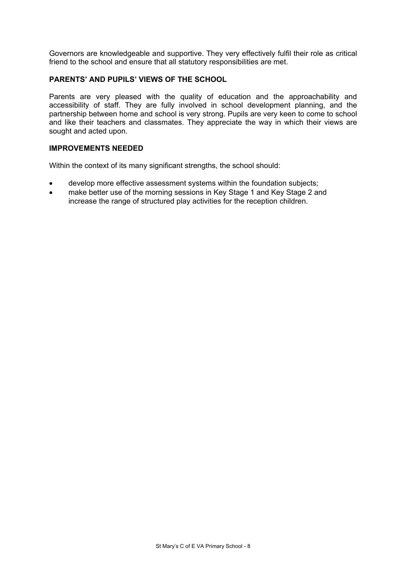Governors are knowledgeable and supportive. They very effectively fulfil their role as critical friend to the school and ensure that all statutory responsibilities are met.

## **PARENTS' AND PUPILS' VIEWS OF THE SCHOOL**

Parents are very pleased with the quality of education and the approachability and accessibility of staff. They are fully involved in school development planning, and the partnership between home and school is very strong. Pupils are very keen to come to school and like their teachers and classmates. They appreciate the way in which their views are sought and acted upon.

#### **IMPROVEMENTS NEEDED**

Within the context of its many significant strengths, the school should:

- develop more effective assessment systems within the foundation subjects;
- make better use of the morning sessions in Key Stage 1 and Key Stage 2 and increase the range of structured play activities for the reception children.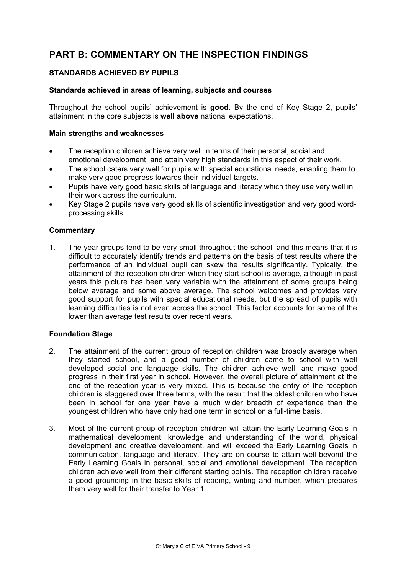# **PART B: COMMENTARY ON THE INSPECTION FINDINGS**

## **STANDARDS ACHIEVED BY PUPILS**

#### **Standards achieved in areas of learning, subjects and courses**

Throughout the school pupils' achievement is **good**. By the end of Key Stage 2, pupils' attainment in the core subjects is **well above** national expectations.

#### **Main strengths and weaknesses**

- The reception children achieve very well in terms of their personal, social and emotional development, and attain very high standards in this aspect of their work.
- The school caters very well for pupils with special educational needs, enabling them to make very good progress towards their individual targets.
- Pupils have very good basic skills of language and literacy which they use very well in their work across the curriculum.
- Key Stage 2 pupils have very good skills of scientific investigation and very good wordprocessing skills.

## **Commentary**

1. The year groups tend to be very small throughout the school, and this means that it is difficult to accurately identify trends and patterns on the basis of test results where the performance of an individual pupil can skew the results significantly. Typically, the attainment of the reception children when they start school is average, although in past years this picture has been very variable with the attainment of some groups being below average and some above average. The school welcomes and provides very good support for pupils with special educational needs, but the spread of pupils with learning difficulties is not even across the school. This factor accounts for some of the lower than average test results over recent years.

#### **Foundation Stage**

- 2. The attainment of the current group of reception children was broadly average when they started school, and a good number of children came to school with well developed social and language skills. The children achieve well, and make good progress in their first year in school. However, the overall picture of attainment at the end of the reception year is very mixed. This is because the entry of the reception children is staggered over three terms, with the result that the oldest children who have been in school for one year have a much wider breadth of experience than the youngest children who have only had one term in school on a full-time basis.
- 3. Most of the current group of reception children will attain the Early Learning Goals in mathematical development, knowledge and understanding of the world, physical development and creative development, and will exceed the Early Learning Goals in communication, language and literacy. They are on course to attain well beyond the Early Learning Goals in personal, social and emotional development. The reception children achieve well from their different starting points. The reception children receive a good grounding in the basic skills of reading, writing and number, which prepares them very well for their transfer to Year 1.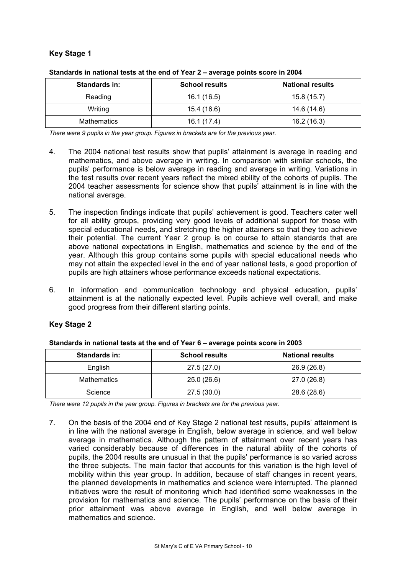# **Key Stage 1**

| Standards in: | <b>School results</b> | <b>National results</b> |
|---------------|-----------------------|-------------------------|
| Reading       | 16.1 (16.5)           | 15.8(15.7)              |
| Writing       | 15.4 (16.6)           | 14.6 (14.6)             |
| Mathematics   | 16.1 (17.4)           | 16.2(16.3)              |

|  |  | Standards in national tests at the end of Year 2 - average points score in 2004 |
|--|--|---------------------------------------------------------------------------------|
|  |  |                                                                                 |

*There were 9 pupils in the year group. Figures in brackets are for the previous year.* 

- 4. The 2004 national test results show that pupils' attainment is average in reading and mathematics, and above average in writing. In comparison with similar schools, the pupils' performance is below average in reading and average in writing. Variations in the test results over recent years reflect the mixed ability of the cohorts of pupils. The 2004 teacher assessments for science show that pupils' attainment is in line with the national average.
- 5. The inspection findings indicate that pupils' achievement is good. Teachers cater well for all ability groups, providing very good levels of additional support for those with special educational needs, and stretching the higher attainers so that they too achieve their potential. The current Year 2 group is on course to attain standards that are above national expectations in English, mathematics and science by the end of the year. Although this group contains some pupils with special educational needs who may not attain the expected level in the end of year national tests, a good proportion of pupils are high attainers whose performance exceeds national expectations.
- 6. In information and communication technology and physical education, pupils' attainment is at the nationally expected level. Pupils achieve well overall, and make good progress from their different starting points.

# **Key Stage 2**

| <b>Standards in:</b> | <b>School results</b> | <b>National results</b> |
|----------------------|-----------------------|-------------------------|
| English              | 27.5(27.0)            | 26.9(26.8)              |
| <b>Mathematics</b>   | 25.0 (26.6)           | 27.0 (26.8)             |
| Science              | 27.5(30.0)            | 28.6 (28.6)             |

*There were 12 pupils in the year group. Figures in brackets are for the previous year.* 

7. On the basis of the 2004 end of Key Stage 2 national test results, pupils' attainment is in line with the national average in English, below average in science, and well below average in mathematics. Although the pattern of attainment over recent years has varied considerably because of differences in the natural ability of the cohorts of pupils, the 2004 results are unusual in that the pupils' performance is so varied across the three subjects. The main factor that accounts for this variation is the high level of mobility within this year group. In addition, because of staff changes in recent years, the planned developments in mathematics and science were interrupted. The planned initiatives were the result of monitoring which had identified some weaknesses in the provision for mathematics and science. The pupils' performance on the basis of their prior attainment was above average in English, and well below average in mathematics and science.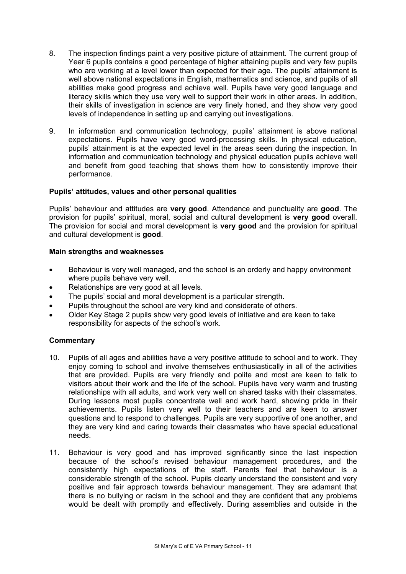- 8. The inspection findings paint a very positive picture of attainment. The current group of Year 6 pupils contains a good percentage of higher attaining pupils and very few pupils who are working at a level lower than expected for their age. The pupils' attainment is well above national expectations in English, mathematics and science, and pupils of all abilities make good progress and achieve well. Pupils have very good language and literacy skills which they use very well to support their work in other areas. In addition, their skills of investigation in science are very finely honed, and they show very good levels of independence in setting up and carrying out investigations.
- 9. In information and communication technology, pupils' attainment is above national expectations. Pupils have very good word-processing skills. In physical education, pupils' attainment is at the expected level in the areas seen during the inspection. In information and communication technology and physical education pupils achieve well and benefit from good teaching that shows them how to consistently improve their performance.

## **Pupils' attitudes, values and other personal qualities**

Pupils' behaviour and attitudes are **very good**. Attendance and punctuality are **good**. The provision for pupils' spiritual, moral, social and cultural development is **very good** overall. The provision for social and moral development is **very good** and the provision for spiritual and cultural development is **good**.

#### **Main strengths and weaknesses**

- Behaviour is very well managed, and the school is an orderly and happy environment where pupils behave very well.
- Relationships are very good at all levels.
- The pupils' social and moral development is a particular strength.
- Pupils throughout the school are very kind and considerate of others.
- Older Key Stage 2 pupils show very good levels of initiative and are keen to take responsibility for aspects of the school's work.

- 10. Pupils of all ages and abilities have a very positive attitude to school and to work. They enjoy coming to school and involve themselves enthusiastically in all of the activities that are provided. Pupils are very friendly and polite and most are keen to talk to visitors about their work and the life of the school. Pupils have very warm and trusting relationships with all adults, and work very well on shared tasks with their classmates. During lessons most pupils concentrate well and work hard, showing pride in their achievements. Pupils listen very well to their teachers and are keen to answer questions and to respond to challenges. Pupils are very supportive of one another, and they are very kind and caring towards their classmates who have special educational needs.
- 11. Behaviour is very good and has improved significantly since the last inspection because of the school's revised behaviour management procedures, and the consistently high expectations of the staff. Parents feel that behaviour is a considerable strength of the school. Pupils clearly understand the consistent and very positive and fair approach towards behaviour management. They are adamant that there is no bullying or racism in the school and they are confident that any problems would be dealt with promptly and effectively. During assemblies and outside in the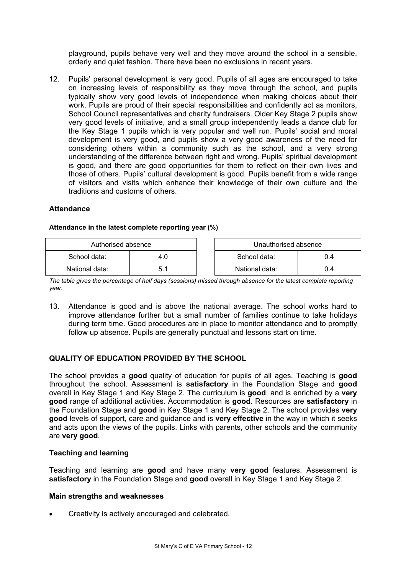playground, pupils behave very well and they move around the school in a sensible, orderly and quiet fashion. There have been no exclusions in recent years.

12. Pupils' personal development is very good. Pupils of all ages are encouraged to take on increasing levels of responsibility as they move through the school, and pupils typically show very good levels of independence when making choices about their work. Pupils are proud of their special responsibilities and confidently act as monitors, School Council representatives and charity fundraisers. Older Key Stage 2 pupils show very good levels of initiative, and a small group independently leads a dance club for the Key Stage 1 pupils which is very popular and well run. Pupils' social and moral development is very good, and pupils show a very good awareness of the need for considering others within a community such as the school, and a very strong understanding of the difference between right and wrong. Pupils' spiritual development is good, and there are good opportunities for them to reflect on their own lives and those of others. Pupils' cultural development is good. Pupils benefit from a wide range of visitors and visits which enhance their knowledge of their own culture and the traditions and customs of others.

#### **Attendance**

#### **Attendance in the latest complete reporting year (%)**

| Authorised absence  |     | Unauthorised absence |     |
|---------------------|-----|----------------------|-----|
| School data:<br>4.0 |     | School data:         | 0.4 |
| National data:      | 5.1 | National data:       | 0.4 |

*The table gives the percentage of half days (sessions) missed through absence for the latest complete reporting year.* 

13. Attendance is good and is above the national average. The school works hard to improve attendance further but a small number of families continue to take holidays during term time. Good procedures are in place to monitor attendance and to promptly follow up absence. Pupils are generally punctual and lessons start on time.

## **QUALITY OF EDUCATION PROVIDED BY THE SCHOOL**

The school provides a **good** quality of education for pupils of all ages. Teaching is **good**  throughout the school. Assessment is **satisfactory** in the Foundation Stage and **good** overall in Key Stage 1 and Key Stage 2. The curriculum is **good**, and is enriched by a **very good** range of additional activities. Accommodation is **good**. Resources are **satisfactory** in the Foundation Stage and **good** in Key Stage 1 and Key Stage 2. The school provides **very good** levels of support, care and guidance and is **very effective** in the way in which it seeks and acts upon the views of the pupils. Links with parents, other schools and the community are **very good**.

#### **Teaching and learning**

Teaching and learning are **good** and have many **very good** features. Assessment is **satisfactory** in the Foundation Stage and **good** overall in Key Stage 1 and Key Stage 2.

#### **Main strengths and weaknesses**

• Creativity is actively encouraged and celebrated.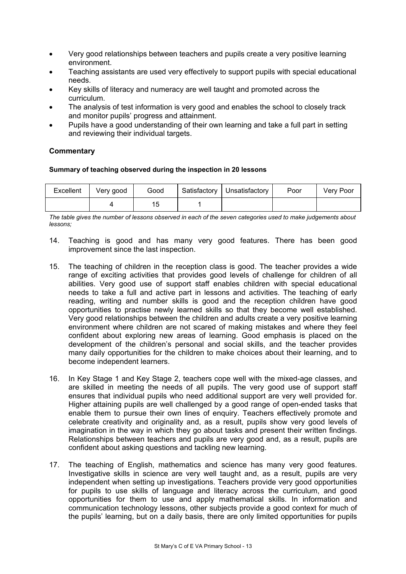- Very good relationships between teachers and pupils create a very positive learning environment.
- Teaching assistants are used very effectively to support pupils with special educational needs.
- Key skills of literacy and numeracy are well taught and promoted across the curriculum.
- The analysis of test information is very good and enables the school to closely track and monitor pupils' progress and attainment.
- Pupils have a good understanding of their own learning and take a full part in setting and reviewing their individual targets.

## **Commentary**

#### **Summary of teaching observed during the inspection in 20 lessons**

| Excellent | Very good | Good | Satisfactory   Unsatisfactory | Poor | Very Poor |
|-----------|-----------|------|-------------------------------|------|-----------|
|           |           | ٥.   |                               |      |           |

*The table gives the number of lessons observed in each of the seven categories used to make judgements about lessons;* 

- 14. Teaching is good and has many very good features. There has been good improvement since the last inspection.
- 15. The teaching of children in the reception class is good. The teacher provides a wide range of exciting activities that provides good levels of challenge for children of all abilities. Very good use of support staff enables children with special educational needs to take a full and active part in lessons and activities. The teaching of early reading, writing and number skills is good and the reception children have good opportunities to practise newly learned skills so that they become well established. Very good relationships between the children and adults create a very positive learning environment where children are not scared of making mistakes and where they feel confident about exploring new areas of learning. Good emphasis is placed on the development of the children's personal and social skills, and the teacher provides many daily opportunities for the children to make choices about their learning, and to become independent learners.
- 16. In Key Stage 1 and Key Stage 2, teachers cope well with the mixed-age classes, and are skilled in meeting the needs of all pupils. The very good use of support staff ensures that individual pupils who need additional support are very well provided for. Higher attaining pupils are well challenged by a good range of open-ended tasks that enable them to pursue their own lines of enquiry. Teachers effectively promote and celebrate creativity and originality and, as a result, pupils show very good levels of imagination in the way in which they go about tasks and present their written findings. Relationships between teachers and pupils are very good and, as a result, pupils are confident about asking questions and tackling new learning.
- 17. The teaching of English, mathematics and science has many very good features. Investigative skills in science are very well taught and, as a result, pupils are very independent when setting up investigations. Teachers provide very good opportunities for pupils to use skills of language and literacy across the curriculum, and good opportunities for them to use and apply mathematical skills. In information and communication technology lessons, other subjects provide a good context for much of the pupils' learning, but on a daily basis, there are only limited opportunities for pupils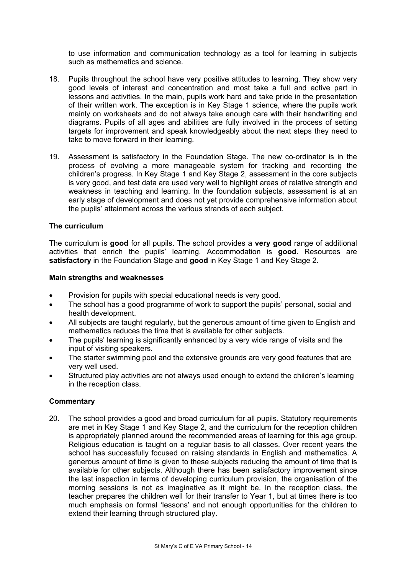to use information and communication technology as a tool for learning in subjects such as mathematics and science.

- 18. Pupils throughout the school have very positive attitudes to learning. They show very good levels of interest and concentration and most take a full and active part in lessons and activities. In the main, pupils work hard and take pride in the presentation of their written work. The exception is in Key Stage 1 science, where the pupils work mainly on worksheets and do not always take enough care with their handwriting and diagrams. Pupils of all ages and abilities are fully involved in the process of setting targets for improvement and speak knowledgeably about the next steps they need to take to move forward in their learning.
- 19. Assessment is satisfactory in the Foundation Stage. The new co-ordinator is in the process of evolving a more manageable system for tracking and recording the children's progress. In Key Stage 1 and Key Stage 2, assessment in the core subjects is very good, and test data are used very well to highlight areas of relative strength and weakness in teaching and learning. In the foundation subjects, assessment is at an early stage of development and does not yet provide comprehensive information about the pupils' attainment across the various strands of each subject.

#### **The curriculum**

The curriculum is **good** for all pupils. The school provides a **very good** range of additional activities that enrich the pupils' learning. Accommodation is **good**. Resources are **satisfactory** in the Foundation Stage and **good** in Key Stage 1 and Key Stage 2.

#### **Main strengths and weaknesses**

- Provision for pupils with special educational needs is very good.
- The school has a good programme of work to support the pupils' personal, social and health development.
- All subjects are taught regularly, but the generous amount of time given to English and mathematics reduces the time that is available for other subjects.
- The pupils' learning is significantly enhanced by a very wide range of visits and the input of visiting speakers.
- The starter swimming pool and the extensive grounds are very good features that are very well used.
- Structured play activities are not always used enough to extend the children's learning in the reception class.

## **Commentary**

20. The school provides a good and broad curriculum for all pupils. Statutory requirements are met in Key Stage 1 and Key Stage 2, and the curriculum for the reception children is appropriately planned around the recommended areas of learning for this age group. Religious education is taught on a regular basis to all classes. Over recent years the school has successfully focused on raising standards in English and mathematics. A generous amount of time is given to these subjects reducing the amount of time that is available for other subjects. Although there has been satisfactory improvement since the last inspection in terms of developing curriculum provision, the organisation of the morning sessions is not as imaginative as it might be. In the reception class, the teacher prepares the children well for their transfer to Year 1, but at times there is too much emphasis on formal 'lessons' and not enough opportunities for the children to extend their learning through structured play.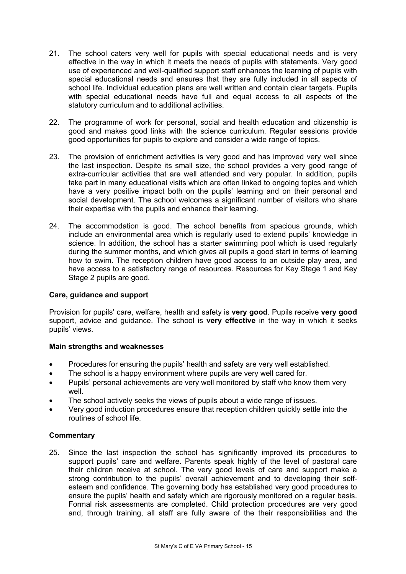- 21. The school caters very well for pupils with special educational needs and is very effective in the way in which it meets the needs of pupils with statements. Very good use of experienced and well-qualified support staff enhances the learning of pupils with special educational needs and ensures that they are fully included in all aspects of school life. Individual education plans are well written and contain clear targets. Pupils with special educational needs have full and equal access to all aspects of the statutory curriculum and to additional activities.
- 22. The programme of work for personal, social and health education and citizenship is good and makes good links with the science curriculum. Regular sessions provide good opportunities for pupils to explore and consider a wide range of topics.
- 23. The provision of enrichment activities is very good and has improved very well since the last inspection. Despite its small size, the school provides a very good range of extra-curricular activities that are well attended and very popular. In addition, pupils take part in many educational visits which are often linked to ongoing topics and which have a very positive impact both on the pupils' learning and on their personal and social development. The school welcomes a significant number of visitors who share their expertise with the pupils and enhance their learning.
- 24. The accommodation is good. The school benefits from spacious grounds, which include an environmental area which is regularly used to extend pupils' knowledge in science. In addition, the school has a starter swimming pool which is used regularly during the summer months, and which gives all pupils a good start in terms of learning how to swim. The reception children have good access to an outside play area, and have access to a satisfactory range of resources. Resources for Key Stage 1 and Key Stage 2 pupils are good.

## **Care, guidance and support**

Provision for pupils' care, welfare, health and safety is **very good**. Pupils receive **very good** support, advice and guidance. The school is **very effective** in the way in which it seeks pupils' views.

#### **Main strengths and weaknesses**

- Procedures for ensuring the pupils' health and safety are very well established.
- The school is a happy environment where pupils are very well cared for.
- Pupils' personal achievements are very well monitored by staff who know them very well.
- The school actively seeks the views of pupils about a wide range of issues.
- Very good induction procedures ensure that reception children quickly settle into the routines of school life.

## **Commentary**

25. Since the last inspection the school has significantly improved its procedures to support pupils' care and welfare. Parents speak highly of the level of pastoral care their children receive at school. The very good levels of care and support make a strong contribution to the pupils' overall achievement and to developing their selfesteem and confidence. The governing body has established very good procedures to ensure the pupils' health and safety which are rigorously monitored on a regular basis. Formal risk assessments are completed. Child protection procedures are very good and, through training, all staff are fully aware of the their responsibilities and the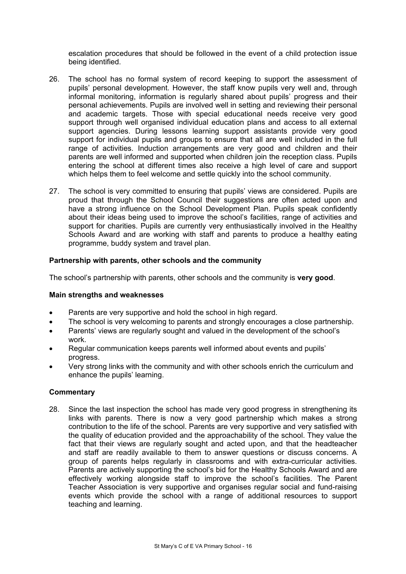escalation procedures that should be followed in the event of a child protection issue being identified.

- 26. The school has no formal system of record keeping to support the assessment of pupils' personal development. However, the staff know pupils very well and, through informal monitoring, information is regularly shared about pupils' progress and their personal achievements. Pupils are involved well in setting and reviewing their personal and academic targets. Those with special educational needs receive very good support through well organised individual education plans and access to all external support agencies. During lessons learning support assistants provide very good support for individual pupils and groups to ensure that all are well included in the full range of activities. Induction arrangements are very good and children and their parents are well informed and supported when children join the reception class. Pupils entering the school at different times also receive a high level of care and support which helps them to feel welcome and settle quickly into the school community.
- 27. The school is very committed to ensuring that pupils' views are considered. Pupils are proud that through the School Council their suggestions are often acted upon and have a strong influence on the School Development Plan. Pupils speak confidently about their ideas being used to improve the school's facilities, range of activities and support for charities. Pupils are currently very enthusiastically involved in the Healthy Schools Award and are working with staff and parents to produce a healthy eating programme, buddy system and travel plan.

#### **Partnership with parents, other schools and the community**

The school's partnership with parents, other schools and the community is **very good**.

#### **Main strengths and weaknesses**

- Parents are very supportive and hold the school in high regard.
- The school is very welcoming to parents and strongly encourages a close partnership.
- Parents' views are regularly sought and valued in the development of the school's work.
- Regular communication keeps parents well informed about events and pupils' progress.
- Very strong links with the community and with other schools enrich the curriculum and enhance the pupils' learning.

## **Commentary**

28. Since the last inspection the school has made very good progress in strengthening its links with parents. There is now a very good partnership which makes a strong contribution to the life of the school. Parents are very supportive and very satisfied with the quality of education provided and the approachability of the school. They value the fact that their views are regularly sought and acted upon, and that the headteacher and staff are readily available to them to answer questions or discuss concerns. A group of parents helps regularly in classrooms and with extra-curricular activities. Parents are actively supporting the school's bid for the Healthy Schools Award and are effectively working alongside staff to improve the school's facilities. The Parent Teacher Association is very supportive and organises regular social and fund-raising events which provide the school with a range of additional resources to support teaching and learning.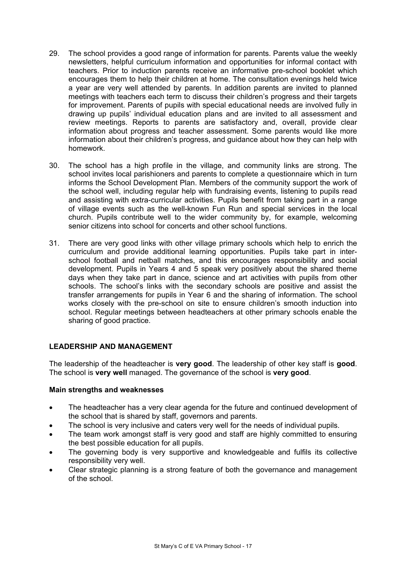- 29. The school provides a good range of information for parents. Parents value the weekly newsletters, helpful curriculum information and opportunities for informal contact with teachers. Prior to induction parents receive an informative pre-school booklet which encourages them to help their children at home. The consultation evenings held twice a year are very well attended by parents. In addition parents are invited to planned meetings with teachers each term to discuss their children's progress and their targets for improvement. Parents of pupils with special educational needs are involved fully in drawing up pupils' individual education plans and are invited to all assessment and review meetings. Reports to parents are satisfactory and, overall, provide clear information about progress and teacher assessment. Some parents would like more information about their children's progress, and guidance about how they can help with homework.
- 30. The school has a high profile in the village, and community links are strong. The school invites local parishioners and parents to complete a questionnaire which in turn informs the School Development Plan. Members of the community support the work of the school well, including regular help with fundraising events, listening to pupils read and assisting with extra-curricular activities. Pupils benefit from taking part in a range of village events such as the well-known Fun Run and special services in the local church. Pupils contribute well to the wider community by, for example, welcoming senior citizens into school for concerts and other school functions.
- 31. There are very good links with other village primary schools which help to enrich the curriculum and provide additional learning opportunities. Pupils take part in interschool football and netball matches, and this encourages responsibility and social development. Pupils in Years 4 and 5 speak very positively about the shared theme days when they take part in dance, science and art activities with pupils from other schools. The school's links with the secondary schools are positive and assist the transfer arrangements for pupils in Year 6 and the sharing of information. The school works closely with the pre-school on site to ensure children's smooth induction into school. Regular meetings between headteachers at other primary schools enable the sharing of good practice.

## **LEADERSHIP AND MANAGEMENT**

The leadership of the headteacher is **very good**. The leadership of other key staff is **good**. The school is **very well** managed. The governance of the school is **very good**.

#### **Main strengths and weaknesses**

- The headteacher has a very clear agenda for the future and continued development of the school that is shared by staff, governors and parents.
- The school is very inclusive and caters very well for the needs of individual pupils.
- The team work amongst staff is very good and staff are highly committed to ensuring the best possible education for all pupils.
- The governing body is very supportive and knowledgeable and fulfils its collective responsibility very well.
- Clear strategic planning is a strong feature of both the governance and management of the school.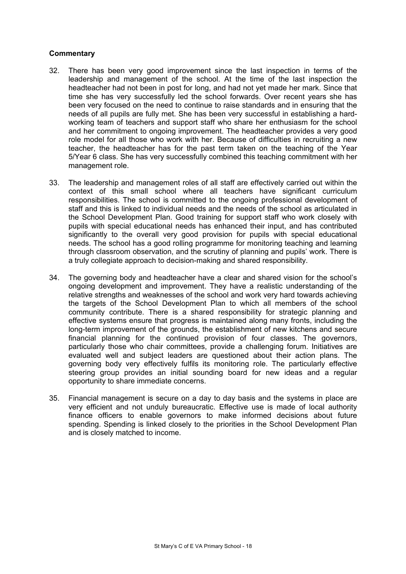- 32. There has been very good improvement since the last inspection in terms of the leadership and management of the school. At the time of the last inspection the headteacher had not been in post for long, and had not yet made her mark. Since that time she has very successfully led the school forwards. Over recent years she has been very focused on the need to continue to raise standards and in ensuring that the needs of all pupils are fully met. She has been very successful in establishing a hardworking team of teachers and support staff who share her enthusiasm for the school and her commitment to ongoing improvement. The headteacher provides a very good role model for all those who work with her. Because of difficulties in recruiting a new teacher, the headteacher has for the past term taken on the teaching of the Year 5/Year 6 class. She has very successfully combined this teaching commitment with her management role.
- 33. The leadership and management roles of all staff are effectively carried out within the context of this small school where all teachers have significant curriculum responsibilities. The school is committed to the ongoing professional development of staff and this is linked to individual needs and the needs of the school as articulated in the School Development Plan. Good training for support staff who work closely with pupils with special educational needs has enhanced their input, and has contributed significantly to the overall very good provision for pupils with special educational needs. The school has a good rolling programme for monitoring teaching and learning through classroom observation, and the scrutiny of planning and pupils' work. There is a truly collegiate approach to decision-making and shared responsibility.
- 34. The governing body and headteacher have a clear and shared vision for the school's ongoing development and improvement. They have a realistic understanding of the relative strengths and weaknesses of the school and work very hard towards achieving the targets of the School Development Plan to which all members of the school community contribute. There is a shared responsibility for strategic planning and effective systems ensure that progress is maintained along many fronts, including the long-term improvement of the grounds, the establishment of new kitchens and secure financial planning for the continued provision of four classes. The governors, particularly those who chair committees, provide a challenging forum. Initiatives are evaluated well and subject leaders are questioned about their action plans. The governing body very effectively fulfils its monitoring role. The particularly effective steering group provides an initial sounding board for new ideas and a regular opportunity to share immediate concerns.
- 35. Financial management is secure on a day to day basis and the systems in place are very efficient and not unduly bureaucratic. Effective use is made of local authority finance officers to enable governors to make informed decisions about future spending. Spending is linked closely to the priorities in the School Development Plan and is closely matched to income.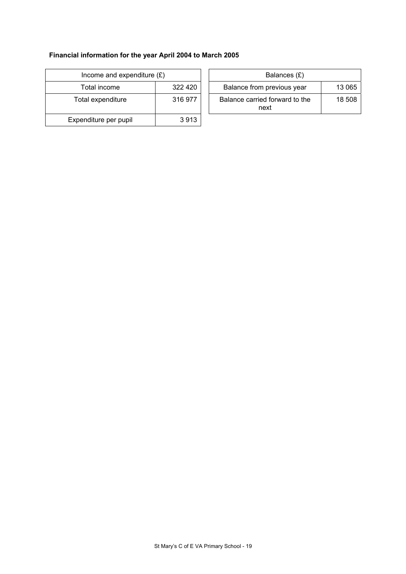# **Financial information for the year April 2004 to March 2005**

| Income and expenditure $(E)$ |         | Balances (£)                           |
|------------------------------|---------|----------------------------------------|
| Total income                 | 322 420 | Balance from previous year             |
| Total expenditure            | 316 977 | Balance carried forward to the<br>next |
| Expenditure per pupil        | 3913    |                                        |

| Income and expenditure $(E)$ |         | Balances (£)                           |        |
|------------------------------|---------|----------------------------------------|--------|
| Total income                 | 322 420 | Balance from previous year             | 13 065 |
| tal expenditure              | 316 977 | Balance carried forward to the<br>next | 18 508 |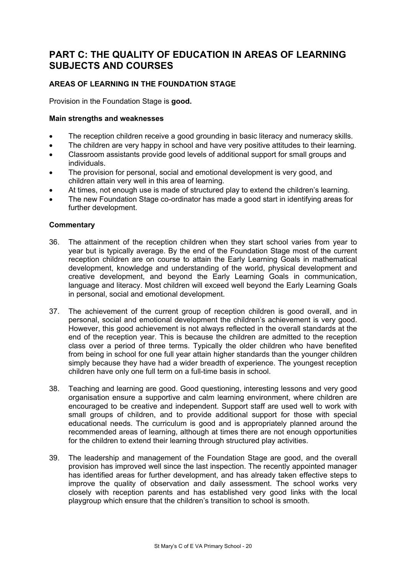# **PART C: THE QUALITY OF EDUCATION IN AREAS OF LEARNING SUBJECTS AND COURSES**

# **AREAS OF LEARNING IN THE FOUNDATION STAGE**

Provision in the Foundation Stage is **good.** 

#### **Main strengths and weaknesses**

- The reception children receive a good grounding in basic literacy and numeracy skills.
- The children are very happy in school and have very positive attitudes to their learning.
- Classroom assistants provide good levels of additional support for small groups and individuals.
- The provision for personal, social and emotional development is very good, and children attain very well in this area of learning.
- At times, not enough use is made of structured play to extend the children's learning.
- The new Foundation Stage co-ordinator has made a good start in identifying areas for further development.

- 36. The attainment of the reception children when they start school varies from year to year but is typically average. By the end of the Foundation Stage most of the current reception children are on course to attain the Early Learning Goals in mathematical development, knowledge and understanding of the world, physical development and creative development, and beyond the Early Learning Goals in communication, language and literacy. Most children will exceed well beyond the Early Learning Goals in personal, social and emotional development.
- 37. The achievement of the current group of reception children is good overall, and in personal, social and emotional development the children's achievement is very good. However, this good achievement is not always reflected in the overall standards at the end of the reception year. This is because the children are admitted to the reception class over a period of three terms. Typically the older children who have benefited from being in school for one full year attain higher standards than the younger children simply because they have had a wider breadth of experience. The youngest reception children have only one full term on a full-time basis in school.
- 38. Teaching and learning are good. Good questioning, interesting lessons and very good organisation ensure a supportive and calm learning environment, where children are encouraged to be creative and independent. Support staff are used well to work with small groups of children, and to provide additional support for those with special educational needs. The curriculum is good and is appropriately planned around the recommended areas of learning, although at times there are not enough opportunities for the children to extend their learning through structured play activities.
- 39. The leadership and management of the Foundation Stage are good, and the overall provision has improved well since the last inspection. The recently appointed manager has identified areas for further development, and has already taken effective steps to improve the quality of observation and daily assessment. The school works very closely with reception parents and has established very good links with the local playgroup which ensure that the children's transition to school is smooth.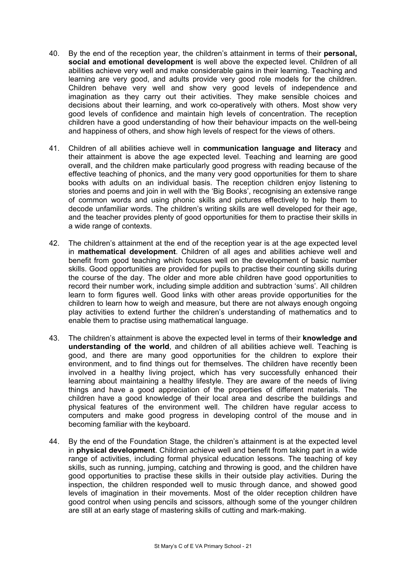- 40. By the end of the reception year, the children's attainment in terms of their **personal, social and emotional development** is well above the expected level. Children of all abilities achieve very well and make considerable gains in their learning. Teaching and learning are very good, and adults provide very good role models for the children. Children behave very well and show very good levels of independence and imagination as they carry out their activities. They make sensible choices and decisions about their learning, and work co-operatively with others. Most show very good levels of confidence and maintain high levels of concentration. The reception children have a good understanding of how their behaviour impacts on the well-being and happiness of others, and show high levels of respect for the views of others.
- 41. Children of all abilities achieve well in **communication language and literacy** and their attainment is above the age expected level. Teaching and learning are good overall, and the children make particularly good progress with reading because of the effective teaching of phonics, and the many very good opportunities for them to share books with adults on an individual basis. The reception children enjoy listening to stories and poems and join in well with the 'Big Books', recognising an extensive range of common words and using phonic skills and pictures effectively to help them to decode unfamiliar words. The children's writing skills are well developed for their age, and the teacher provides plenty of good opportunities for them to practise their skills in a wide range of contexts.
- 42. The children's attainment at the end of the reception year is at the age expected level in **mathematical development**. Children of all ages and abilities achieve well and benefit from good teaching which focuses well on the development of basic number skills. Good opportunities are provided for pupils to practise their counting skills during the course of the day. The older and more able children have good opportunities to record their number work, including simple addition and subtraction 'sums'. All children learn to form figures well. Good links with other areas provide opportunities for the children to learn how to weigh and measure, but there are not always enough ongoing play activities to extend further the children's understanding of mathematics and to enable them to practise using mathematical language.
- 43. The children's attainment is above the expected level in terms of their **knowledge and understanding of the world**, and children of all abilities achieve well. Teaching is good, and there are many good opportunities for the children to explore their environment, and to find things out for themselves. The children have recently been involved in a healthy living project, which has very successfully enhanced their learning about maintaining a healthy lifestyle. They are aware of the needs of living things and have a good appreciation of the properties of different materials. The children have a good knowledge of their local area and describe the buildings and physical features of the environment well. The children have regular access to computers and make good progress in developing control of the mouse and in becoming familiar with the keyboard.
- 44. By the end of the Foundation Stage, the children's attainment is at the expected level in **physical development**. Children achieve well and benefit from taking part in a wide range of activities, including formal physical education lessons. The teaching of key skills, such as running, jumping, catching and throwing is good, and the children have good opportunities to practise these skills in their outside play activities. During the inspection, the children responded well to music through dance, and showed good levels of imagination in their movements. Most of the older reception children have good control when using pencils and scissors, although some of the younger children are still at an early stage of mastering skills of cutting and mark-making.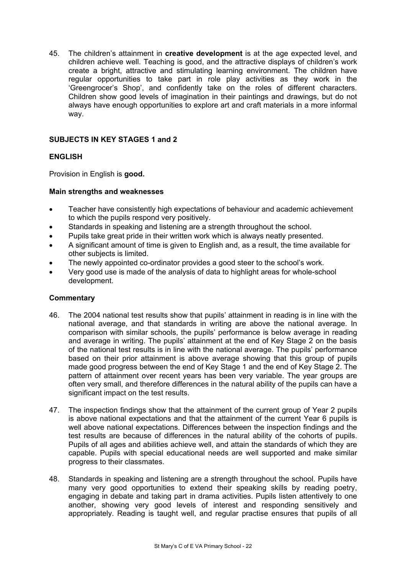45. The children's attainment in **creative development** is at the age expected level, and children achieve well. Teaching is good, and the attractive displays of children's work create a bright, attractive and stimulating learning environment. The children have regular opportunities to take part in role play activities as they work in the 'Greengrocer's Shop', and confidently take on the roles of different characters. Children show good levels of imagination in their paintings and drawings, but do not always have enough opportunities to explore art and craft materials in a more informal way.

## **SUBJECTS IN KEY STAGES 1 and 2**

## **ENGLISH**

Provision in English is **good.** 

## **Main strengths and weaknesses**

- Teacher have consistently high expectations of behaviour and academic achievement to which the pupils respond very positively.
- Standards in speaking and listening are a strength throughout the school.
- Pupils take great pride in their written work which is always neatly presented.
- A significant amount of time is given to English and, as a result, the time available for other subjects is limited.
- The newly appointed co-ordinator provides a good steer to the school's work.
- Very good use is made of the analysis of data to highlight areas for whole-school development.

- 46. The 2004 national test results show that pupils' attainment in reading is in line with the national average, and that standards in writing are above the national average. In comparison with similar schools, the pupils' performance is below average in reading and average in writing. The pupils' attainment at the end of Key Stage 2 on the basis of the national test results is in line with the national average. The pupils' performance based on their prior attainment is above average showing that this group of pupils made good progress between the end of Key Stage 1 and the end of Key Stage 2. The pattern of attainment over recent years has been very variable. The year groups are often very small, and therefore differences in the natural ability of the pupils can have a significant impact on the test results.
- 47. The inspection findings show that the attainment of the current group of Year 2 pupils is above national expectations and that the attainment of the current Year 6 pupils is well above national expectations. Differences between the inspection findings and the test results are because of differences in the natural ability of the cohorts of pupils. Pupils of all ages and abilities achieve well, and attain the standards of which they are capable. Pupils with special educational needs are well supported and make similar progress to their classmates.
- 48. Standards in speaking and listening are a strength throughout the school. Pupils have many very good opportunities to extend their speaking skills by reading poetry, engaging in debate and taking part in drama activities. Pupils listen attentively to one another, showing very good levels of interest and responding sensitively and appropriately. Reading is taught well, and regular practise ensures that pupils of all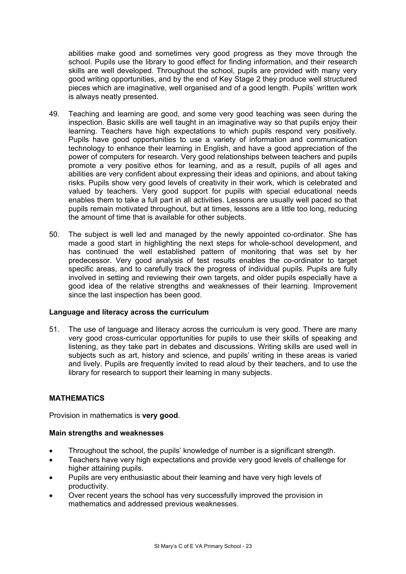abilities make good and sometimes very good progress as they move through the school. Pupils use the library to good effect for finding information, and their research skills are well developed. Throughout the school, pupils are provided with many very good writing opportunities, and by the end of Key Stage 2 they produce well structured pieces which are imaginative, well organised and of a good length. Pupils' written work is always neatly presented.

- 49. Teaching and learning are good, and some very good teaching was seen during the inspection. Basic skills are well taught in an imaginative way so that pupils enjoy their learning. Teachers have high expectations to which pupils respond very positively. Pupils have good opportunities to use a variety of information and communication technology to enhance their learning in English, and have a good appreciation of the power of computers for research. Very good relationships between teachers and pupils promote a very positive ethos for learning, and as a result, pupils of all ages and abilities are very confident about expressing their ideas and opinions, and about taking risks. Pupils show very good levels of creativity in their work, which is celebrated and valued by teachers. Very good support for pupils with special educational needs enables them to take a full part in all activities. Lessons are usually well paced so that pupils remain motivated throughout, but at times, lessons are a little too long, reducing the amount of time that is available for other subjects.
- 50. The subject is well led and managed by the newly appointed co-ordinator. She has made a good start in highlighting the next steps for whole-school development, and has continued the well established pattern of monitoring that was set by her predecessor. Very good analysis of test results enables the co-ordinator to target specific areas, and to carefully track the progress of individual pupils. Pupils are fully involved in setting and reviewing their own targets, and older pupils especially have a good idea of the relative strengths and weaknesses of their learning. Improvement since the last inspection has been good.

## **Language and literacy across the curriculum**

51. The use of language and literacy across the curriculum is very good. There are many very good cross-curricular opportunities for pupils to use their skills of speaking and listening, as they take part in debates and discussions. Writing skills are used well in subjects such as art, history and science, and pupils' writing in these areas is varied and lively. Pupils are frequently invited to read aloud by their teachers, and to use the library for research to support their learning in many subjects.

## **MATHEMATICS**

Provision in mathematics is **very good**.

## **Main strengths and weaknesses**

- Throughout the school, the pupils' knowledge of number is a significant strength.
- Teachers have very high expectations and provide very good levels of challenge for higher attaining pupils.
- Pupils are very enthusiastic about their learning and have very high levels of productivity.
- Over recent years the school has very successfully improved the provision in mathematics and addressed previous weaknesses.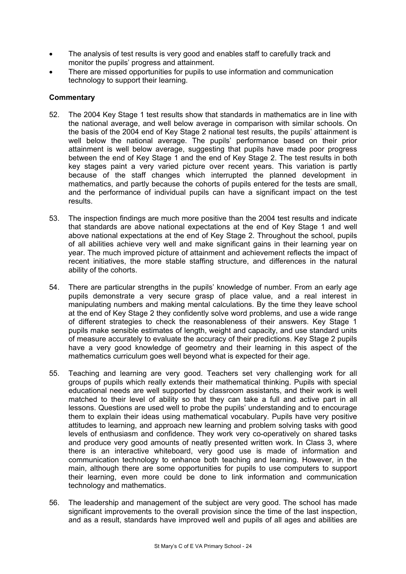- The analysis of test results is very good and enables staff to carefully track and monitor the pupils' progress and attainment.
- There are missed opportunities for pupils to use information and communication technology to support their learning.

- 52. The 2004 Key Stage 1 test results show that standards in mathematics are in line with the national average, and well below average in comparison with similar schools. On the basis of the 2004 end of Key Stage 2 national test results, the pupils' attainment is well below the national average. The pupils' performance based on their prior attainment is well below average, suggesting that pupils have made poor progress between the end of Key Stage 1 and the end of Key Stage 2. The test results in both key stages paint a very varied picture over recent years. This variation is partly because of the staff changes which interrupted the planned development in mathematics, and partly because the cohorts of pupils entered for the tests are small, and the performance of individual pupils can have a significant impact on the test results.
- 53. The inspection findings are much more positive than the 2004 test results and indicate that standards are above national expectations at the end of Key Stage 1 and well above national expectations at the end of Key Stage 2. Throughout the school, pupils of all abilities achieve very well and make significant gains in their learning year on year. The much improved picture of attainment and achievement reflects the impact of recent initiatives, the more stable staffing structure, and differences in the natural ability of the cohorts.
- 54. There are particular strengths in the pupils' knowledge of number. From an early age pupils demonstrate a very secure grasp of place value, and a real interest in manipulating numbers and making mental calculations. By the time they leave school at the end of Key Stage 2 they confidently solve word problems, and use a wide range of different strategies to check the reasonableness of their answers. Key Stage 1 pupils make sensible estimates of length, weight and capacity, and use standard units of measure accurately to evaluate the accuracy of their predictions. Key Stage 2 pupils have a very good knowledge of geometry and their learning in this aspect of the mathematics curriculum goes well beyond what is expected for their age.
- 55. Teaching and learning are very good. Teachers set very challenging work for all groups of pupils which really extends their mathematical thinking. Pupils with special educational needs are well supported by classroom assistants, and their work is well matched to their level of ability so that they can take a full and active part in all lessons. Questions are used well to probe the pupils' understanding and to encourage them to explain their ideas using mathematical vocabulary. Pupils have very positive attitudes to learning, and approach new learning and problem solving tasks with good levels of enthusiasm and confidence. They work very co-operatively on shared tasks and produce very good amounts of neatly presented written work. In Class 3, where there is an interactive whiteboard, very good use is made of information and communication technology to enhance both teaching and learning. However, in the main, although there are some opportunities for pupils to use computers to support their learning, even more could be done to link information and communication technology and mathematics.
- 56. The leadership and management of the subject are very good. The school has made significant improvements to the overall provision since the time of the last inspection, and as a result, standards have improved well and pupils of all ages and abilities are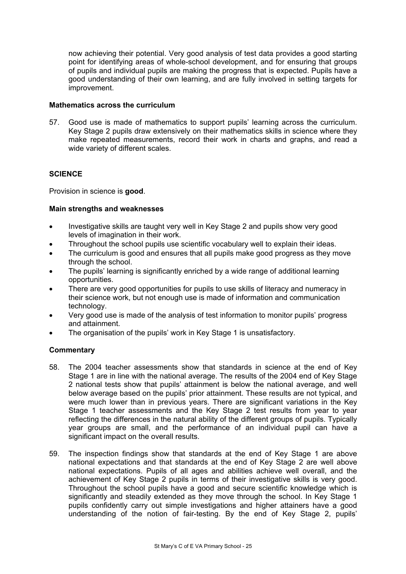now achieving their potential. Very good analysis of test data provides a good starting point for identifying areas of whole-school development, and for ensuring that groups of pupils and individual pupils are making the progress that is expected. Pupils have a good understanding of their own learning, and are fully involved in setting targets for improvement.

#### **Mathematics across the curriculum**

57. Good use is made of mathematics to support pupils' learning across the curriculum. Key Stage 2 pupils draw extensively on their mathematics skills in science where they make repeated measurements, record their work in charts and graphs, and read a wide variety of different scales.

## **SCIENCE**

Provision in science is **good**.

#### **Main strengths and weaknesses**

- Investigative skills are taught very well in Key Stage 2 and pupils show very good levels of imagination in their work.
- Throughout the school pupils use scientific vocabulary well to explain their ideas.
- The curriculum is good and ensures that all pupils make good progress as they move through the school.
- The pupils' learning is significantly enriched by a wide range of additional learning opportunities.
- There are very good opportunities for pupils to use skills of literacy and numeracy in their science work, but not enough use is made of information and communication technology.
- Very good use is made of the analysis of test information to monitor pupils' progress and attainment.
- The organisation of the pupils' work in Key Stage 1 is unsatisfactory.

- 58. The 2004 teacher assessments show that standards in science at the end of Key Stage 1 are in line with the national average. The results of the 2004 end of Key Stage 2 national tests show that pupils' attainment is below the national average, and well below average based on the pupils' prior attainment. These results are not typical, and were much lower than in previous years. There are significant variations in the Key Stage 1 teacher assessments and the Key Stage 2 test results from year to year reflecting the differences in the natural ability of the different groups of pupils. Typically year groups are small, and the performance of an individual pupil can have a significant impact on the overall results.
- 59. The inspection findings show that standards at the end of Key Stage 1 are above national expectations and that standards at the end of Key Stage 2 are well above national expectations. Pupils of all ages and abilities achieve well overall, and the achievement of Key Stage 2 pupils in terms of their investigative skills is very good. Throughout the school pupils have a good and secure scientific knowledge which is significantly and steadily extended as they move through the school. In Key Stage 1 pupils confidently carry out simple investigations and higher attainers have a good understanding of the notion of fair-testing. By the end of Key Stage 2, pupils'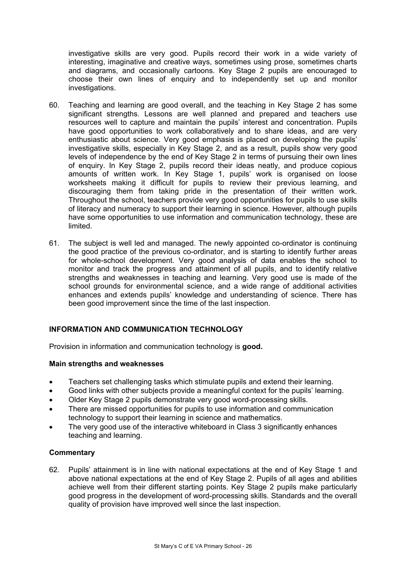investigative skills are very good. Pupils record their work in a wide variety of interesting, imaginative and creative ways, sometimes using prose, sometimes charts and diagrams, and occasionally cartoons. Key Stage 2 pupils are encouraged to choose their own lines of enquiry and to independently set up and monitor investigations.

- 60. Teaching and learning are good overall, and the teaching in Key Stage 2 has some significant strengths. Lessons are well planned and prepared and teachers use resources well to capture and maintain the pupils' interest and concentration. Pupils have good opportunities to work collaboratively and to share ideas, and are very enthusiastic about science. Very good emphasis is placed on developing the pupils' investigative skills, especially in Key Stage 2, and as a result, pupils show very good levels of independence by the end of Key Stage 2 in terms of pursuing their own lines of enquiry. In Key Stage 2, pupils record their ideas neatly, and produce copious amounts of written work. In Key Stage 1, pupils' work is organised on loose worksheets making it difficult for pupils to review their previous learning, and discouraging them from taking pride in the presentation of their written work. Throughout the school, teachers provide very good opportunities for pupils to use skills of literacy and numeracy to support their learning in science. However, although pupils have some opportunities to use information and communication technology, these are limited.
- 61. The subject is well led and managed. The newly appointed co-ordinator is continuing the good practice of the previous co-ordinator, and is starting to identify further areas for whole-school development. Very good analysis of data enables the school to monitor and track the progress and attainment of all pupils, and to identify relative strengths and weaknesses in teaching and learning. Very good use is made of the school grounds for environmental science, and a wide range of additional activities enhances and extends pupils' knowledge and understanding of science. There has been good improvement since the time of the last inspection.

## **INFORMATION AND COMMUNICATION TECHNOLOGY**

Provision in information and communication technology is **good.** 

#### **Main strengths and weaknesses**

- Teachers set challenging tasks which stimulate pupils and extend their learning.
- Good links with other subjects provide a meaningful context for the pupils' learning.
- Older Key Stage 2 pupils demonstrate very good word-processing skills.
- There are missed opportunities for pupils to use information and communication technology to support their learning in science and mathematics.
- The very good use of the interactive whiteboard in Class 3 significantly enhances teaching and learning.

#### **Commentary**

62. Pupils' attainment is in line with national expectations at the end of Key Stage 1 and above national expectations at the end of Key Stage 2. Pupils of all ages and abilities achieve well from their different starting points. Key Stage 2 pupils make particularly good progress in the development of word-processing skills. Standards and the overall quality of provision have improved well since the last inspection.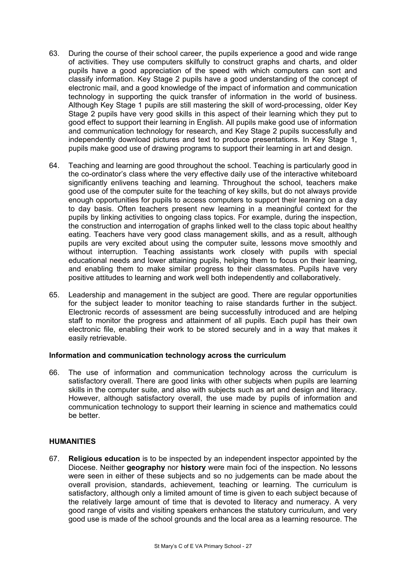- 63. During the course of their school career, the pupils experience a good and wide range of activities. They use computers skilfully to construct graphs and charts, and older pupils have a good appreciation of the speed with which computers can sort and classify information. Key Stage 2 pupils have a good understanding of the concept of electronic mail, and a good knowledge of the impact of information and communication technology in supporting the quick transfer of information in the world of business. Although Key Stage 1 pupils are still mastering the skill of word-processing, older Key Stage 2 pupils have very good skills in this aspect of their learning which they put to good effect to support their learning in English. All pupils make good use of information and communication technology for research, and Key Stage 2 pupils successfully and independently download pictures and text to produce presentations. In Key Stage 1, pupils make good use of drawing programs to support their learning in art and design.
- 64. Teaching and learning are good throughout the school. Teaching is particularly good in the co-ordinator's class where the very effective daily use of the interactive whiteboard significantly enlivens teaching and learning. Throughout the school, teachers make good use of the computer suite for the teaching of key skills, but do not always provide enough opportunities for pupils to access computers to support their learning on a day to day basis. Often teachers present new learning in a meaningful context for the pupils by linking activities to ongoing class topics. For example, during the inspection, the construction and interrogation of graphs linked well to the class topic about healthy eating. Teachers have very good class management skills, and as a result, although pupils are very excited about using the computer suite, lessons move smoothly and without interruption. Teaching assistants work closely with pupils with special educational needs and lower attaining pupils, helping them to focus on their learning, and enabling them to make similar progress to their classmates. Pupils have very positive attitudes to learning and work well both independently and collaboratively.
- 65. Leadership and management in the subject are good. There are regular opportunities for the subject leader to monitor teaching to raise standards further in the subject. Electronic records of assessment are being successfully introduced and are helping staff to monitor the progress and attainment of all pupils. Each pupil has their own electronic file, enabling their work to be stored securely and in a way that makes it easily retrievable.

## **Information and communication technology across the curriculum**

66. The use of information and communication technology across the curriculum is satisfactory overall. There are good links with other subjects when pupils are learning skills in the computer suite, and also with subjects such as art and design and literacy. However, although satisfactory overall, the use made by pupils of information and communication technology to support their learning in science and mathematics could be better.

#### **HUMANITIES**

67. **Religious education** is to be inspected by an independent inspector appointed by the Diocese. Neither **geography** nor **history** were main foci of the inspection. No lessons were seen in either of these subjects and so no judgements can be made about the overall provision, standards, achievement, teaching or learning. The curriculum is satisfactory, although only a limited amount of time is given to each subject because of the relatively large amount of time that is devoted to literacy and numeracy. A very good range of visits and visiting speakers enhances the statutory curriculum, and very good use is made of the school grounds and the local area as a learning resource. The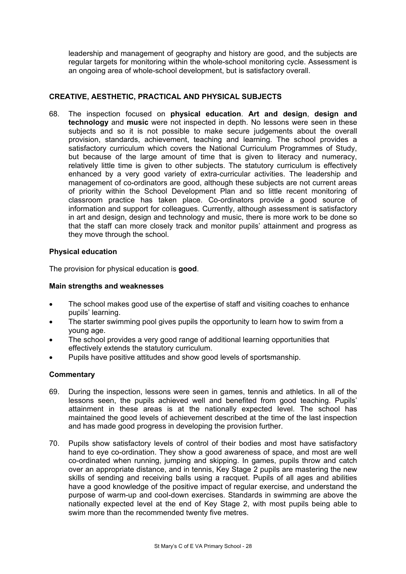leadership and management of geography and history are good, and the subjects are regular targets for monitoring within the whole-school monitoring cycle. Assessment is an ongoing area of whole-school development, but is satisfactory overall.

# **CREATIVE, AESTHETIC, PRACTICAL AND PHYSICAL SUBJECTS**

68. The inspection focused on **physical education**. **Art and design**, **design and technology** and **music** were not inspected in depth. No lessons were seen in these subjects and so it is not possible to make secure judgements about the overall provision, standards, achievement, teaching and learning. The school provides a satisfactory curriculum which covers the National Curriculum Programmes of Study, but because of the large amount of time that is given to literacy and numeracy, relatively little time is given to other subjects. The statutory curriculum is effectively enhanced by a very good variety of extra-curricular activities. The leadership and management of co-ordinators are good, although these subjects are not current areas of priority within the School Development Plan and so little recent monitoring of classroom practice has taken place. Co-ordinators provide a good source of information and support for colleagues. Currently, although assessment is satisfactory in art and design, design and technology and music, there is more work to be done so that the staff can more closely track and monitor pupils' attainment and progress as they move through the school.

## **Physical education**

The provision for physical education is **good**.

## **Main strengths and weaknesses**

- The school makes good use of the expertise of staff and visiting coaches to enhance pupils' learning.
- The starter swimming pool gives pupils the opportunity to learn how to swim from a young age.
- The school provides a very good range of additional learning opportunities that effectively extends the statutory curriculum.
- Pupils have positive attitudes and show good levels of sportsmanship.

- 69. During the inspection, lessons were seen in games, tennis and athletics. In all of the lessons seen, the pupils achieved well and benefited from good teaching. Pupils' attainment in these areas is at the nationally expected level. The school has maintained the good levels of achievement described at the time of the last inspection and has made good progress in developing the provision further.
- 70. Pupils show satisfactory levels of control of their bodies and most have satisfactory hand to eye co-ordination. They show a good awareness of space, and most are well co-ordinated when running, jumping and skipping. In games, pupils throw and catch over an appropriate distance, and in tennis, Key Stage 2 pupils are mastering the new skills of sending and receiving balls using a racquet. Pupils of all ages and abilities have a good knowledge of the positive impact of regular exercise, and understand the purpose of warm-up and cool-down exercises. Standards in swimming are above the nationally expected level at the end of Key Stage 2, with most pupils being able to swim more than the recommended twenty five metres.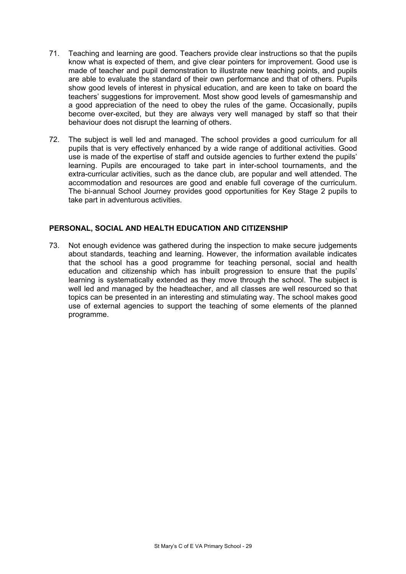- 71. Teaching and learning are good. Teachers provide clear instructions so that the pupils know what is expected of them, and give clear pointers for improvement. Good use is made of teacher and pupil demonstration to illustrate new teaching points, and pupils are able to evaluate the standard of their own performance and that of others. Pupils show good levels of interest in physical education, and are keen to take on board the teachers' suggestions for improvement. Most show good levels of gamesmanship and a good appreciation of the need to obey the rules of the game. Occasionally, pupils become over-excited, but they are always very well managed by staff so that their behaviour does not disrupt the learning of others.
- 72. The subject is well led and managed. The school provides a good curriculum for all pupils that is very effectively enhanced by a wide range of additional activities. Good use is made of the expertise of staff and outside agencies to further extend the pupils' learning. Pupils are encouraged to take part in inter-school tournaments, and the extra-curricular activities, such as the dance club, are popular and well attended. The accommodation and resources are good and enable full coverage of the curriculum. The bi-annual School Journey provides good opportunities for Key Stage 2 pupils to take part in adventurous activities.

## **PERSONAL, SOCIAL AND HEALTH EDUCATION AND CITIZENSHIP**

73. Not enough evidence was gathered during the inspection to make secure judgements about standards, teaching and learning. However, the information available indicates that the school has a good programme for teaching personal, social and health education and citizenship which has inbuilt progression to ensure that the pupils' learning is systematically extended as they move through the school. The subject is well led and managed by the headteacher, and all classes are well resourced so that topics can be presented in an interesting and stimulating way. The school makes good use of external agencies to support the teaching of some elements of the planned programme.